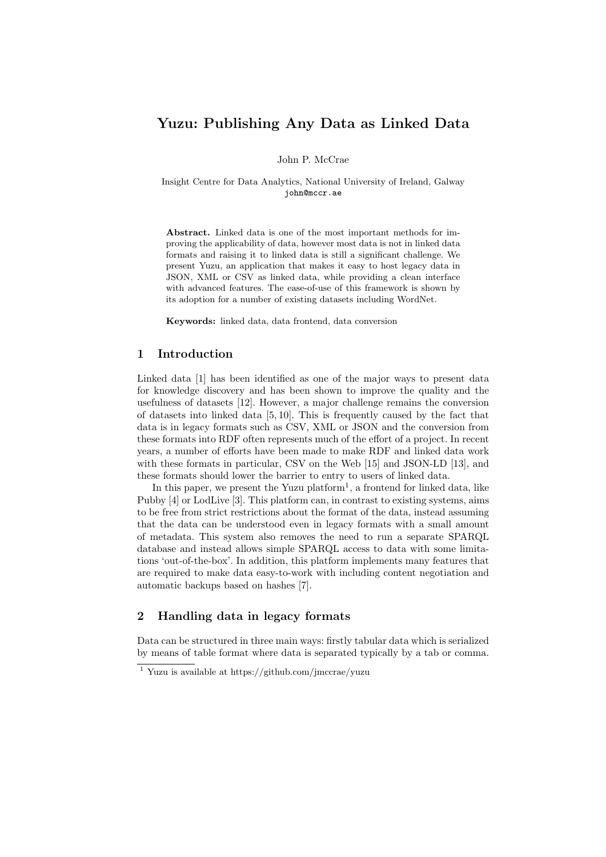# Yuzu: Publishing Any Data as Linked Data

John P. McCrae

Insight Centre for Data Analytics, National University of Ireland, Galway john@mccr.ae

Abstract. Linked data is one of the most important methods for improving the applicability of data, however most data is not in linked data formats and raising it to linked data is still a significant challenge. We present Yuzu, an application that makes it easy to host legacy data in JSON, XML or CSV as linked data, while providing a clean interface with advanced features. The ease-of-use of this framework is shown by its adoption for a number of existing datasets including WordNet.

Keywords: linked data, data frontend, data conversion

# 1 Introduction

Linked data [1] has been identified as one of the major ways to present data for knowledge discovery and has been shown to improve the quality and the usefulness of datasets [12]. However, a major challenge remains the conversion of datasets into linked data [5, 10]. This is frequently caused by the fact that data is in legacy formats such as CSV, XML or JSON and the conversion from these formats into RDF often represents much of the effort of a project. In recent years, a number of efforts have been made to make RDF and linked data work with these formats in particular, CSV on the Web [15] and JSON-LD [13], and these formats should lower the barrier to entry to users of linked data.

In this paper, we present the Yuzu platform<sup>1</sup>, a frontend for linked data, like Pubby [4] or LodLive [3]. This platform can, in contrast to existing systems, aims to be free from strict restrictions about the format of the data, instead assuming that the data can be understood even in legacy formats with a small amount of metadata. This system also removes the need to run a separate SPARQL database and instead allows simple SPARQL access to data with some limitations 'out-of-the-box'. In addition, this platform implements many features that are required to make data easy-to-work with including content negotiation and automatic backups based on hashes [7].

# 2 Handling data in legacy formats

Data can be structured in three main ways: firstly tabular data which is serialized by means of table format where data is separated typically by a tab or comma.

<sup>&</sup>lt;sup>1</sup> Yuzu is available at https://github.com/jmccrae/yuzu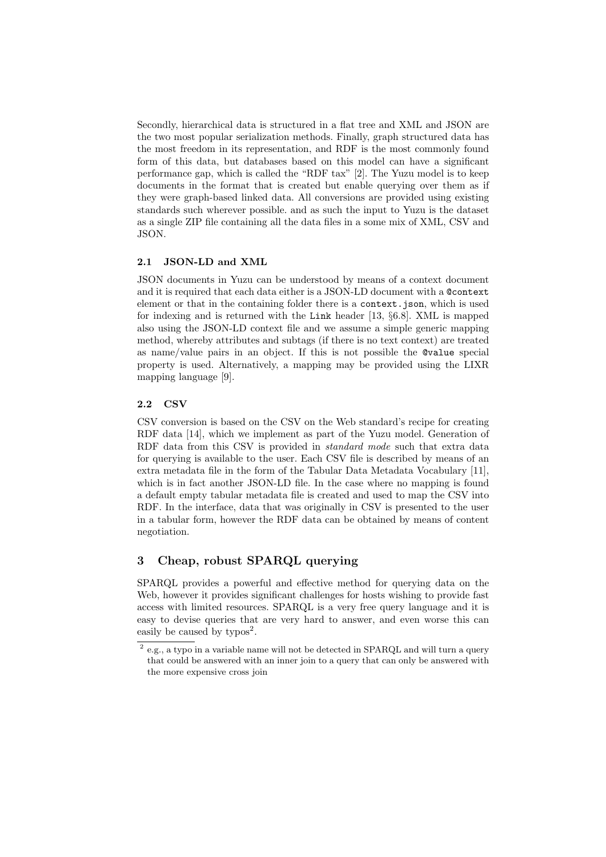Secondly, hierarchical data is structured in a flat tree and XML and JSON are the two most popular serialization methods. Finally, graph structured data has the most freedom in its representation, and RDF is the most commonly found form of this data, but databases based on this model can have a significant performance gap, which is called the "RDF tax" [2]. The Yuzu model is to keep documents in the format that is created but enable querying over them as if they were graph-based linked data. All conversions are provided using existing standards such wherever possible. and as such the input to Yuzu is the dataset as a single ZIP file containing all the data files in a some mix of XML, CSV and JSON.

#### 2.1 JSON-LD and XML

JSON documents in Yuzu can be understood by means of a context document and it is required that each data either is a JSON-LD document with a @context element or that in the containing folder there is a context.json, which is used for indexing and is returned with the Link header [13, §6.8]. XML is mapped also using the JSON-LD context file and we assume a simple generic mapping method, whereby attributes and subtags (if there is no text context) are treated as name/value pairs in an object. If this is not possible the @value special property is used. Alternatively, a mapping may be provided using the LIXR mapping language [9].

# 2.2 CSV

CSV conversion is based on the CSV on the Web standard's recipe for creating RDF data [14], which we implement as part of the Yuzu model. Generation of RDF data from this CSV is provided in standard mode such that extra data for querying is available to the user. Each CSV file is described by means of an extra metadata file in the form of the Tabular Data Metadata Vocabulary [11], which is in fact another JSON-LD file. In the case where no mapping is found a default empty tabular metadata file is created and used to map the CSV into RDF. In the interface, data that was originally in CSV is presented to the user in a tabular form, however the RDF data can be obtained by means of content negotiation.

# 3 Cheap, robust SPARQL querying

SPARQL provides a powerful and effective method for querying data on the Web, however it provides significant challenges for hosts wishing to provide fast access with limited resources. SPARQL is a very free query language and it is easy to devise queries that are very hard to answer, and even worse this can easily be caused by  $\text{typos}^2$ .

 $^{2}$  e.g., a typo in a variable name will not be detected in SPARQL and will turn a query that could be answered with an inner join to a query that can only be answered with the more expensive cross join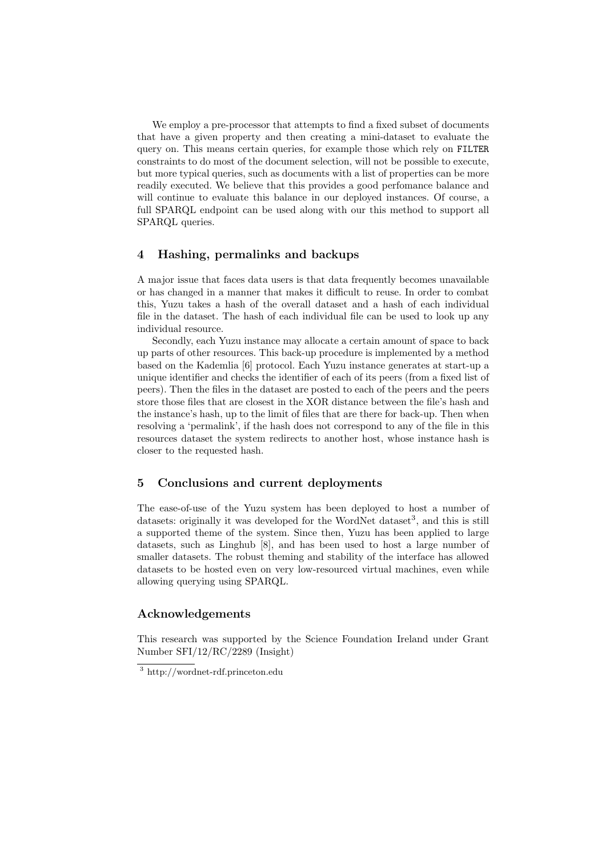We employ a pre-processor that attempts to find a fixed subset of documents that have a given property and then creating a mini-dataset to evaluate the query on. This means certain queries, for example those which rely on FILTER constraints to do most of the document selection, will not be possible to execute, but more typical queries, such as documents with a list of properties can be more readily executed. We believe that this provides a good perfomance balance and will continue to evaluate this balance in our deployed instances. Of course, a full SPARQL endpoint can be used along with our this method to support all SPARQL queries.

# 4 Hashing, permalinks and backups

A major issue that faces data users is that data frequently becomes unavailable or has changed in a manner that makes it difficult to reuse. In order to combat this, Yuzu takes a hash of the overall dataset and a hash of each individual file in the dataset. The hash of each individual file can be used to look up any individual resource.

Secondly, each Yuzu instance may allocate a certain amount of space to back up parts of other resources. This back-up procedure is implemented by a method based on the Kademlia [6] protocol. Each Yuzu instance generates at start-up a unique identifier and checks the identifier of each of its peers (from a fixed list of peers). Then the files in the dataset are posted to each of the peers and the peers store those files that are closest in the XOR distance between the file's hash and the instance's hash, up to the limit of files that are there for back-up. Then when resolving a 'permalink', if the hash does not correspond to any of the file in this resources dataset the system redirects to another host, whose instance hash is closer to the requested hash.

## 5 Conclusions and current deployments

The ease-of-use of the Yuzu system has been deployed to host a number of datasets: originally it was developed for the WordNet dataset<sup>3</sup>, and this is still a supported theme of the system. Since then, Yuzu has been applied to large datasets, such as Linghub [8], and has been used to host a large number of smaller datasets. The robust theming and stability of the interface has allowed datasets to be hosted even on very low-resourced virtual machines, even while allowing querying using SPARQL.

#### Acknowledgements

This research was supported by the Science Foundation Ireland under Grant Number SFI/12/RC/2289 (Insight)

<sup>3</sup> http://wordnet-rdf.princeton.edu